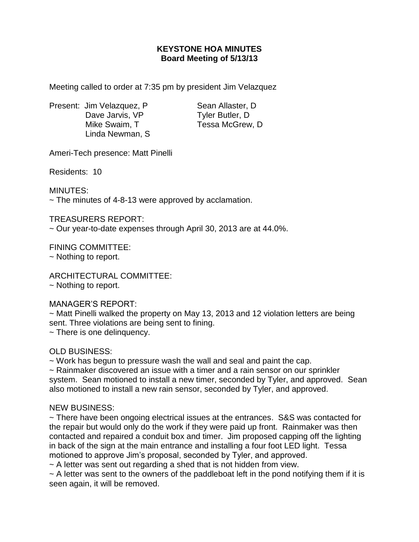## **KEYSTONE HOA MINUTES Board Meeting of 5/13/13**

Meeting called to order at 7:35 pm by president Jim Velazquez

Present: Jim Velazquez, P Sean Allaster, D Dave Jarvis, VP Tyler Butler, D Mike Swaim, T Tessa McGrew, D Linda Newman, S

Ameri-Tech presence: Matt Pinelli

Residents: 10

MINUTES:

 $\sim$  The minutes of 4-8-13 were approved by acclamation.

TREASURERS REPORT:

~ Our year-to-date expenses through April 30, 2013 are at 44.0%.

FINING COMMITTEE: ~ Nothing to report.

ARCHITECTURAL COMMITTEE: ~ Nothing to report.

## MANAGER'S REPORT:

~ Matt Pinelli walked the property on May 13, 2013 and 12 violation letters are being sent. Three violations are being sent to fining.

~ There is one delinquency.

## OLD BUSINESS:

~ Work has begun to pressure wash the wall and seal and paint the cap.

 $\sim$  Rainmaker discovered an issue with a timer and a rain sensor on our sprinkler system. Sean motioned to install a new timer, seconded by Tyler, and approved. Sean also motioned to install a new rain sensor, seconded by Tyler, and approved.

## NEW BUSINESS:

~ There have been ongoing electrical issues at the entrances. S&S was contacted for the repair but would only do the work if they were paid up front. Rainmaker was then contacted and repaired a conduit box and timer. Jim proposed capping off the lighting in back of the sign at the main entrance and installing a four foot LED light. Tessa motioned to approve Jim's proposal, seconded by Tyler, and approved.

 $\sim$  A letter was sent out regarding a shed that is not hidden from view.

 $\sim$  A letter was sent to the owners of the paddleboat left in the pond notifying them if it is seen again, it will be removed.